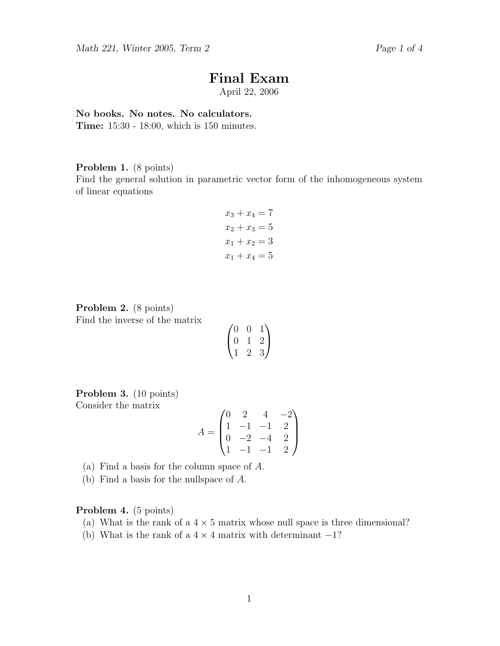# Final Exam

April 22, 2006

## No books. No notes. No calculators.

Time: 15:30 - 18:00, which is 150 minutes.

# Problem 1. (8 points)

Find the general solution in parametric vector form of the inhomogeneous system of linear equations

$$
x_3 + x_4 = 7
$$
  
\n
$$
x_2 + x_3 = 5
$$
  
\n
$$
x_1 + x_2 = 3
$$
  
\n
$$
x_1 + x_4 = 5
$$

Problem 2. (8 points) Find the inverse of the matrix

| $\mathcal{O}$ |    |    |
|---------------|----|----|
| O)            |    | ') |
|               | ٠, | .ب |

Problem 3. (10 points) Consider the matrix

$$
A = \begin{pmatrix} 0 & 2 & 4 & -2 \\ 1 & -1 & -1 & 2 \\ 0 & -2 & -4 & 2 \\ 1 & -1 & -1 & 2 \end{pmatrix}
$$

(a) Find a basis for the column space of A.

(b) Find a basis for the nullspace of A.

Problem 4. (5 points)

- (a) What is the rank of a  $4 \times 5$  matrix whose null space is three dimensional?
- (b) What is the rank of a  $4 \times 4$  matrix with determinant  $-1$ ?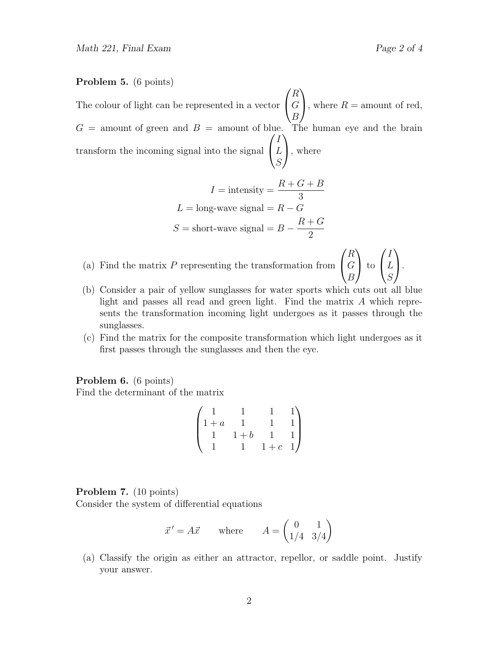I L S

 $\setminus$  $\cdot$ 

#### Problem 5. (6 points)

The colour of light can be represented in a vector  $\sqrt{ }$  $\mathcal{L}$ R G B  $\setminus$ , where  $R =$  amount of red,  $G =$  amount of green and  $B =$  amount of blue. The human eye and the brain transform the incoming signal into the signal  $\sqrt{ }$  $\mathcal{L}$ I L S  $\setminus$ , where

$$
I = \text{intensity} = \frac{R + G + B}{3}
$$

$$
L = \text{long-wave signal} = R - G
$$

$$
S = \text{short-wave signal} = B - \frac{R + G}{2}
$$

- (a) Find the matrix  $P$  representing the transformation from  $\sqrt{ }$  $\mathcal{L}$ R G B  $\setminus$  to  $\sqrt{ }$  $\overline{1}$
- (b) Consider a pair of yellow sunglasses for water sports which cuts out all blue light and passes all read and green light. Find the matrix A which represents the transformation incoming light undergoes as it passes through the sunglasses.
- (c) Find the matrix for the composite transformation which light undergoes as it first passes through the sunglasses and then the eye.

Problem 6. (6 points) Find the determinant of the matrix

$$
\begin{pmatrix} 1 & 1 & 1 & 1 \\ 1+a & 1 & 1 & 1 \\ 1 & 1+b & 1 & 1 \\ 1 & 1 & 1+c & 1 \end{pmatrix}
$$

#### Problem 7. (10 points)

Consider the system of differential equations

$$
\vec{x}' = A\vec{x} \qquad \text{where} \qquad A = \begin{pmatrix} 0 & 1 \\ 1/4 & 3/4 \end{pmatrix}
$$

(a) Classify the origin as either an attractor, repellor, or saddle point. Justify your answer.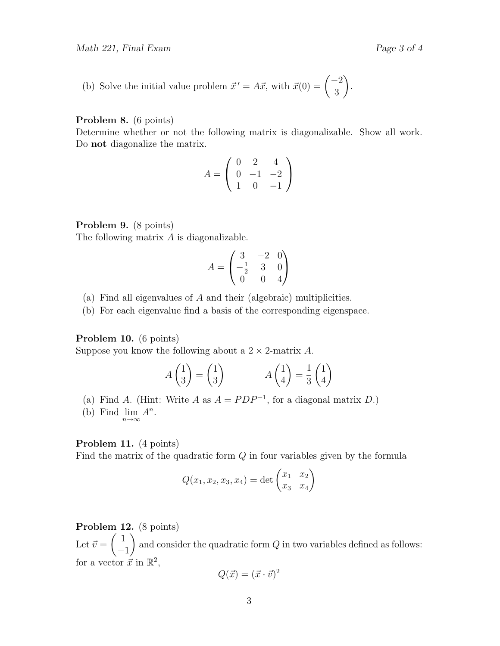(b) Solve the initial value problem 
$$
\vec{x}' = A\vec{x}
$$
, with  $\vec{x}(0) = \begin{pmatrix} -2 \\ 3 \end{pmatrix}$ .

# Problem 8. (6 points)

Determine whether or not the following matrix is diagonalizable. Show all work. Do not diagonalize the matrix.

$$
A = \begin{pmatrix} 0 & 2 & 4 \\ 0 & -1 & -2 \\ 1 & 0 & -1 \end{pmatrix}
$$

# Problem 9. (8 points)

The following matrix A is diagonalizable.

$$
A = \begin{pmatrix} 3 & -2 & 0 \\ -\frac{1}{2} & 3 & 0 \\ 0 & 0 & 4 \end{pmatrix}
$$

- (a) Find all eigenvalues of A and their (algebraic) multiplicities.
- (b) For each eigenvalue find a basis of the corresponding eigenspace.

# Problem 10. (6 points)

Suppose you know the following about a  $2 \times 2$ -matrix A.

$$
A\begin{pmatrix} 1 \\ 3 \end{pmatrix} = \begin{pmatrix} 1 \\ 3 \end{pmatrix} \qquad A\begin{pmatrix} 1 \\ 4 \end{pmatrix} = \frac{1}{3} \begin{pmatrix} 1 \\ 4 \end{pmatrix}
$$

- (a) Find A. (Hint: Write A as  $A = PDP^{-1}$ , for a diagonal matrix D.)
- (b) Find  $\lim_{n\to\infty} A^n$ .

# Problem 11. (4 points)

Find the matrix of the quadratic form  $Q$  in four variables given by the formula

$$
Q(x_1, x_2, x_3, x_4) = \det \begin{pmatrix} x_1 & x_2 \\ x_3 & x_4 \end{pmatrix}
$$

#### Problem 12. (8 points)

Let  $\vec{v} =$  $\begin{pmatrix} 1 \end{pmatrix}$ −1  $\setminus$ and consider the quadratic form  $Q$  in two variables defined as follows: for a vector  $\vec{x}$  in  $\mathbb{R}^2$ , 2

$$
Q(\vec{x}) = (\vec{x} \cdot \vec{v})^2
$$